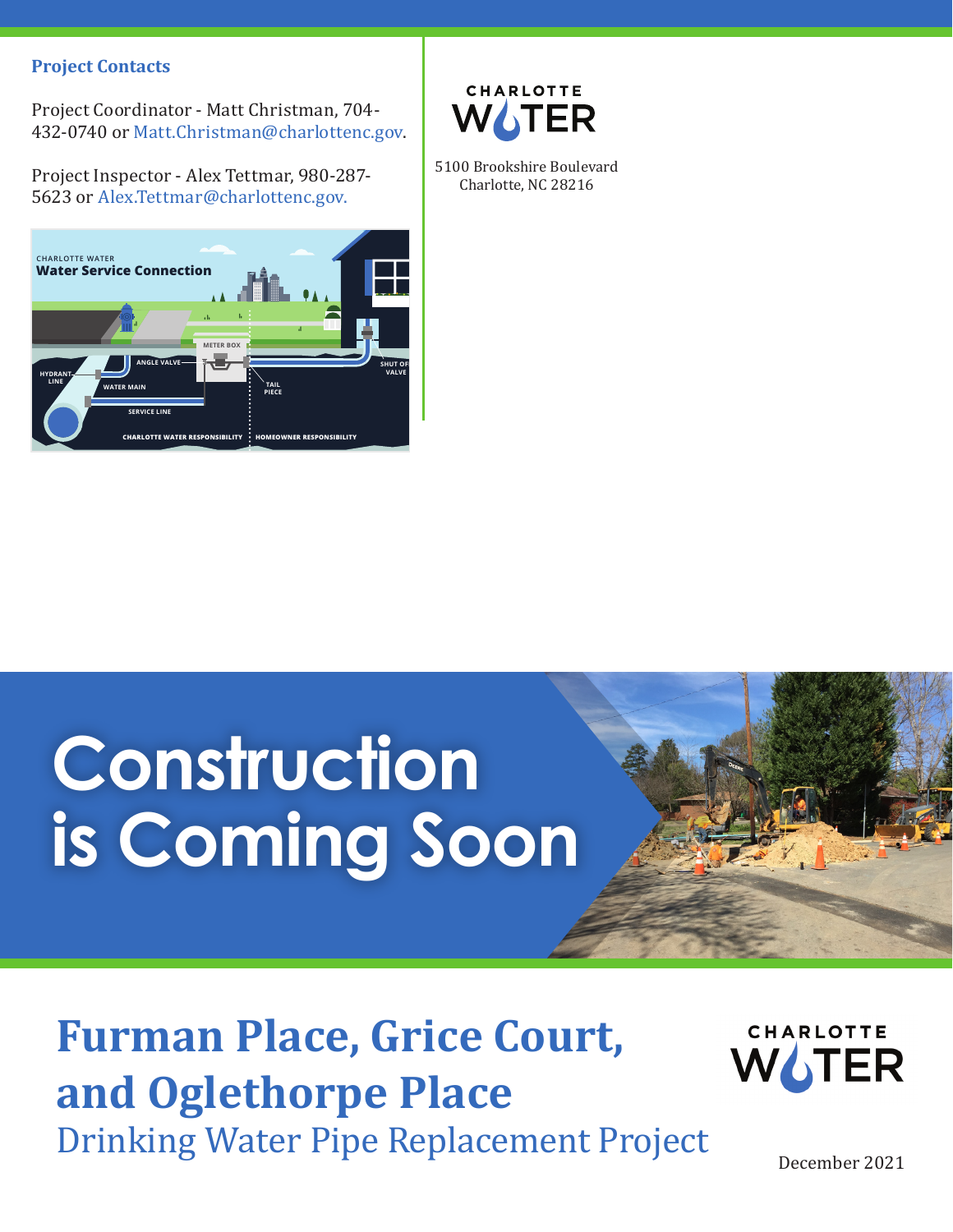#### **Project Contacts**

Project Coordinator - Matt Christman, 704- 432-0740 or Matt.Christman@charlottenc.gov.

Project Inspector - Alex Tettmar, 980-287- 5623 or Alex.Tettmar@charlottenc.gov.





5100 Brookshire Boulevard Charlotte, NC 28216

# **Construction is Coming Soon**

### **Furman Place, Grice Court, and Oglethorpe Place** Drinking Water Pipe Replacement Project



December 2021